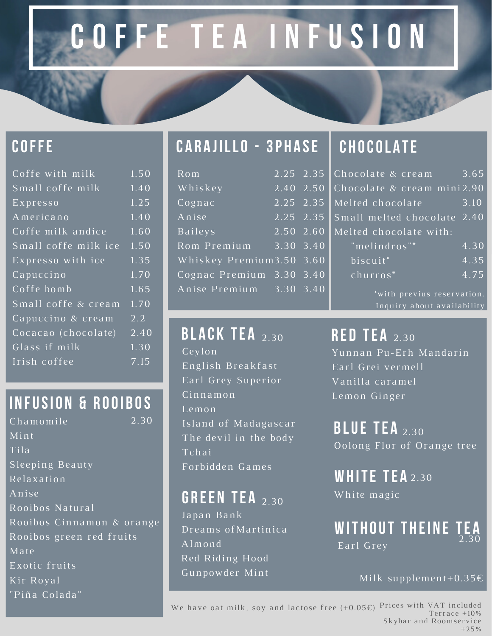# **C O F F E T E A I N F U S I O N**

#### **COFFE**

| $1.\overline{50}$ |
|-------------------|
| 1.40              |
| 1.25              |
| 1.40              |
| $\overline{1.60}$ |
| 1.50              |
| 1.35              |
| 1.70              |
| 1.65              |
| $\overline{1.70}$ |
| $2.\overline{2}$  |
| 2.40              |
| 1.30              |
| 7.15              |
|                   |

#### **I N FUSIO N & R OOI B OS**

Chamomile Mint Tila Sleeping Beauty Relaxation Anise Rooibos Natural Rooibos Cinnamon & orange Rooibos green red fruits Mate Exotic fruits Kir Royal "Piña Colada" 2.30

#### **C A R A JILLO - 3P H A SE C H OCOL A TE**

| $\overline{\mathrm{Rom}}$   | 2.25 2.35 |           |
|-----------------------------|-----------|-----------|
| $W$ hiskey                  | 2.40 2.50 |           |
| $\overline{\text{Cogna}}$ c | 2.25 2.35 |           |
| Anise                       | 2.25 2.35 |           |
| Baileys                     | 2.50 2.60 |           |
| Rom Premium                 |           | 3.30 3.40 |
| Whiskey Premium3.50 3.60    |           |           |
| Cognac Premium 3.30 3.40    |           |           |
| Anise Premium               | 3.30 3.40 |           |

Ceylon English Breakfast Earl Grey Superior Cinnamon Lemon Island of Madagascar The devil in the body Tchai Forbidden Games **BLACK TEA** 2.30

#### **G R EE N TE A** 2.30

Japan Bank Dreams ofMartinica Almond Red Riding Hood Gunpowder Mint

|   | 3.65<br>Chocolate & cream         |
|---|-----------------------------------|
|   | Chocolate & cream mini2.90        |
|   | Melted chocolate<br>3.10          |
|   | Small melted chocolate 2.40       |
| 1 | Melted chocolate with:            |
|   | "melindros"*<br>$\overline{4.30}$ |
|   | $\overline{4.35}$<br>biscuit*     |
|   | churros*<br>$\overline{4.75}$     |
|   | *with previus reservation.        |
|   | Inquiry about availability        |

**RED TEA** 2.30 Yunnan Pu-Erh Mandarin Earl Grei vermell Vanilla caramel Lemon Ginger

> **B LUE TE A** 2.30 Oolong Flor of Orange tree

**WH ITE TE A** 2.30 White magic

**WIT H OUT T H EI N E TE A** Earl Grey 2.30

#### Milk supplement+0.35€

We have oat milk, soy and lactose free  $(+0.05\epsilon)$  Prices with VAT included Terrace +10% Skybar and Roomservice +25%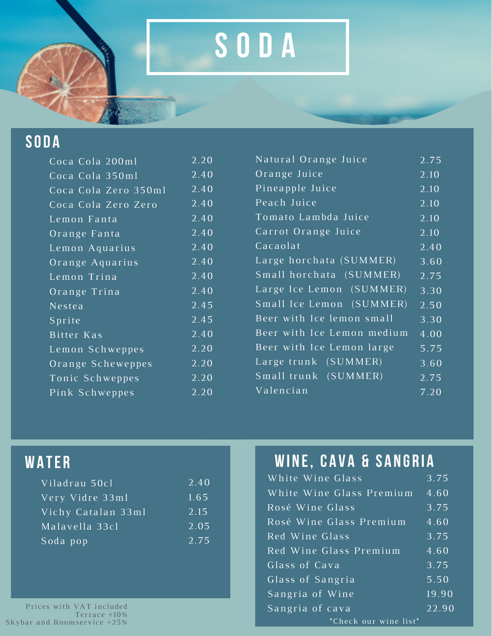## **S O D A**

#### **SO D A**

| Coca Cola 200ml      | 2.20              |
|----------------------|-------------------|
| Coca Cola 350ml      | 2.40              |
| Coca Cola Zero 350ml | 2.40              |
| Coca Cola Zero Zero  | 2.40              |
| Lemon Fanta          | $\overline{2.40}$ |
| Orange Fanta         | 2.40              |
| Lemon Aquarius       | 2.40              |
| Orange Aquarius      | $2.\overline{40}$ |
| Lemon Trina          | 2.40              |
| Orange Trina         | 2.40              |
| Nestea               | 2.45              |
| Sprite               | 2.45              |
| Bitter Kas           | 2.40              |
| Lemon Schweppes      | 2.20              |
| Orange Scheweppes    | 2.20              |
| Tonic Schweppes      | 2.20              |
| Pink Schweppes       | 2.20              |

| Natural Orange Juice       | 2.75              |
|----------------------------|-------------------|
| Orange Juice               | 2.10              |
| Pineapple Juice            | 2.10              |
| Peach Juice                | 2.10              |
| Tomato Lambda Juice        | 2.10              |
| Carrot Orange Juice        | 2.10              |
| Cacaolat                   | $\overline{2.40}$ |
| Large horchata (SUMMER)    | 3.60              |
| Small horchata (SUMMER)    | 2.75              |
| Large Ice Lemon (SUMMER)   | 3.30              |
| Small Ice Lemon (SUMMER)   | 2.50              |
| Beer with Ice lemon small  | 3.30              |
| Beer with Ice Lemon medium | 4.00              |
| Beer with Ice Lemon large  | 5.75              |
| Large trunk (SUMMER)       | 3.60              |
| Small trunk (SUMMER)       | 2.75              |
| Valencian                  | 7.20              |

#### **WA TE R**

| Viladrau 50cl      | 2.40 |
|--------------------|------|
| Very Vidre 33ml    | 1.65 |
| Vichy Catalan 33ml | 2.15 |
| Malavella 33cl     | 2.05 |
| Soda pop           | 2.75 |

Prices with VAT included Terrace +10% Skybar and Roomservice +25%

### **WI N E, C A V A & S A N G R I A**

| White Wine Glass         | 3.75               |
|--------------------------|--------------------|
| White Wine Glass Premium | 4.60               |
| Rosé Wine Glass          | 3.75               |
| Rosé Wine Glass Premium  | 4.60               |
| Red Wine Glass           | 3.75               |
| Red Wine Glass Premium   | 4.60               |
| Glass of Cava            | 3.75               |
| Glass of Sangria         | 5.50               |
| Sangria of Wine          | $\overline{19.90}$ |
| Sangria of cava          | $\overline{22.90}$ |
| *Check our wine list*    |                    |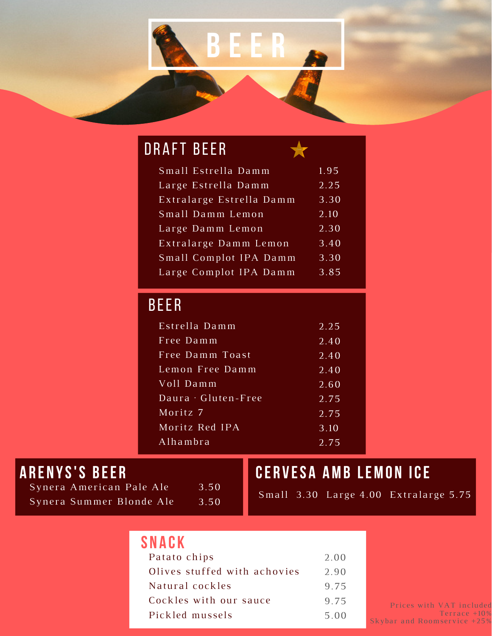

#### Small Estrella Damm Large Estrella Damm Extralarge Estrella Damm Small Damm Lemon Large Damm Lemon Extralarge Damm Lemon Small Complot IPA Damm Large Complot IPA Damm DRAFT BEER 1.95 2.25 3.30 2.10 2.30 3.40 3.30 3.85

#### BEER

| Estrella Damm       | 2.25 |
|---------------------|------|
| Free Damm           | 2.40 |
| Free Damm Toast     | 2.40 |
| Lemon Free Damm     | 2.40 |
| Voll Damm           | 2.60 |
| Daura · Gluten-Free | 2.75 |
| Moritz 7            | 2.75 |
| Moritz Red IPA      | 3.10 |
| Alhambra            | 2.75 |
|                     |      |

#### **A R E N YS'S B EE R**

Synera American Pale Ale Synera Summer Blonde Ale 3.50 3.50

#### **CE R V ES A AMB LEMO N ICE**

Small 3.30 Large 4.00 Extralarge 5.75

| SNACK                        |      |
|------------------------------|------|
| Patato chips                 | 2.00 |
| Olives stuffed with achovies | 2.90 |
| Natural cockles              | 9.75 |
| Cockles with our sauce       | 9.75 |
| Pickled mussels              | 5.00 |

Prices with VAT included Terrace +10% Skybar and Roomservice +25%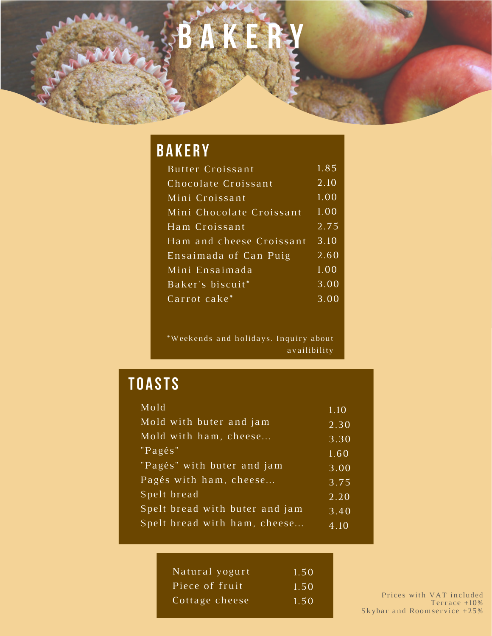# **B A K E R Y**

### **B A K E R Y**

| Butter Croissant         | 1.85 |
|--------------------------|------|
| Chocolate Croissant      | 2.10 |
| Mini Croissant           | 1.00 |
| Mini Chocolate Croissant | 1.00 |
| Ham Croissant            | 2.75 |
| Ham and cheese Croissant | 3.10 |
| Ensaimada of Can Puig    | 2.60 |
| Mini Ensaimada           | 1.00 |
| Baker's biscuit*         | 3.00 |
| Carrot cake*             | 3.00 |
|                          |      |

\*Weekends and holidays. Inquiry about availibility

### **TO A STS**

| Mold                           | 1.10 |
|--------------------------------|------|
| Mold with buter and jam        | 2.30 |
| Mold with ham, cheese          | 3.30 |
| "Pagés"                        | 1.60 |
| "Pagés" with buter and jam     | 3.00 |
| Pagés with ham, cheese         | 3.75 |
| Spelt bread                    | 2.20 |
| Spelt bread with buter and jam | 3.40 |
| Spelt bread with ham, cheese   | 4.10 |

| Natural yogurt | 1.50 |
|----------------|------|
| Piece of fruit | 1.50 |
| Cottage cheese | 1.50 |

Prices with VAT included Terrace +10% Skybar and Roomservice +25%